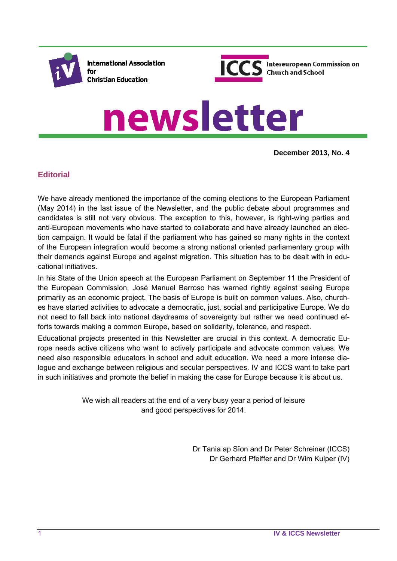

**International Association** for **Christian Education** 



# newsletter

**December 2013, No. 4**

# **Editorial**

We have already mentioned the importance of the coming elections to the European Parliament (May 2014) in the last issue of the Newsletter, and the public debate about programmes and candidates is still not very obvious. The exception to this, however, is right-wing parties and anti-European movements who have started to collaborate and have already launched an election campaign. It would be fatal if the parliament who has gained so many rights in the context of the European integration would become a strong national oriented parliamentary group with their demands against Europe and against migration. This situation has to be dealt with in educational initiatives.

In his State of the Union speech at the European Parliament on September 11 the President of the European Commission, José Manuel Barroso has warned rightly against seeing Europe primarily as an economic project. The basis of Europe is built on common values. Also, churches have started activities to advocate a democratic, just, social and participative Europe. We do not need to fall back into national daydreams of sovereignty but rather we need continued efforts towards making a common Europe, based on solidarity, tolerance, and respect.

Educational projects presented in this Newsletter are crucial in this context. A democratic Europe needs active citizens who want to actively participate and advocate common values. We need also responsible educators in school and adult education. We need a more intense dialogue and exchange between religious and secular perspectives. IV and ICCS want to take part in such initiatives and promote the belief in making the case for Europe because it is about us.

> We wish all readers at the end of a very busy year a period of leisure and good perspectives for 2014.

> > Dr Tania ap Sîon and Dr Peter Schreiner (ICCS) Dr Gerhard Pfeiffer and Dr Wim Kuiper (IV)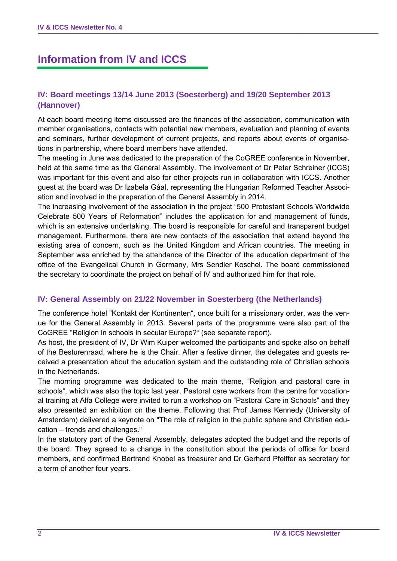# **Information from IV and ICCS**

# **IV: Board meetings 13/14 June 2013 (Soesterberg) and 19/20 September 2013 (Hannover)**

At each board meeting items discussed are the finances of the association, communication with member organisations, contacts with potential new members, evaluation and planning of events and seminars, further development of current projects, and reports about events of organisations in partnership, where board members have attended.

The meeting in June was dedicated to the preparation of the CoGREE conference in November, held at the same time as the General Assembly. The involvement of Dr Peter Schreiner (ICCS) was important for this event and also for other projects run in collaboration with ICCS. Another guest at the board was Dr Izabela Gáal, representing the Hungarian Reformed Teacher Association and involved in the preparation of the General Assembly in 2014.

The increasing involvement of the association in the project "500 Protestant Schools Worldwide Celebrate 500 Years of Reformation" includes the application for and management of funds, which is an extensive undertaking. The board is responsible for careful and transparent budget management. Furthermore, there are new contacts of the association that extend beyond the existing area of concern, such as the United Kingdom and African countries. The meeting in September was enriched by the attendance of the Director of the education department of the office of the Evangelical Church in Germany, Mrs Sendler Koschel. The board commissioned the secretary to coordinate the project on behalf of IV and authorized him for that role.

## **IV: General Assembly on 21/22 November in Soesterberg (the Netherlands)**

The conference hotel "Kontakt der Kontinenten", once built for a missionary order, was the venue for the General Assembly in 2013. Several parts of the programme were also part of the CoGREE "Religion in schools in secular Europe?" (see separate report).

As host, the president of IV, Dr Wim Kuiper welcomed the participants and spoke also on behalf of the Besturenraad, where he is the Chair. After a festive dinner, the delegates and guests received a presentation about the education system and the outstanding role of Christian schools in the Netherlands.

The morning programme was dedicated to the main theme, "Religion and pastoral care in schools", which was also the topic last year. Pastoral care workers from the centre for vocational training at Alfa College were invited to run a workshop on "Pastoral Care in Schools" and they also presented an exhibition on the theme. Following that Prof James Kennedy (University of Amsterdam) delivered a keynote on "The role of religion in the public sphere and Christian education – trends and challenges."

In the statutory part of the General Assembly, delegates adopted the budget and the reports of the board. They agreed to a change in the constitution about the periods of office for board members, and confirmed Bertrand Knobel as treasurer and Dr Gerhard Pfeiffer as secretary for a term of another four years.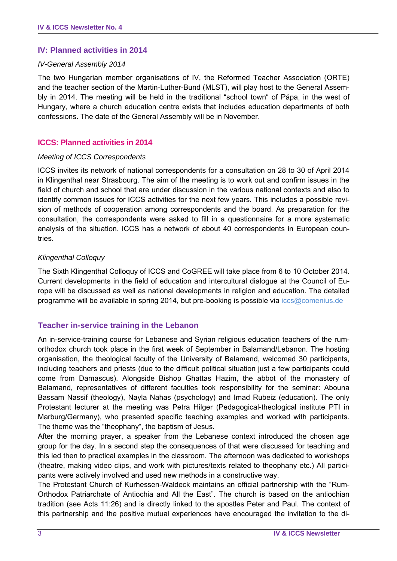#### **IV: Planned activities in 2014**

#### *IV-General Assembly 2014*

The two Hungarian member organisations of IV, the Reformed Teacher Association (ORTE) and the teacher section of the Martin-Luther-Bund (MLST), will play host to the General Assembly in 2014. The meeting will be held in the traditional "school town" of Pápa, in the west of Hungary, where a church education centre exists that includes education departments of both confessions. The date of the General Assembly will be in November.

#### **ICCS: Planned activities in 2014**

#### *Meeting of ICCS Correspondents*

ICCS invites its network of national correspondents for a consultation on 28 to 30 of April 2014 in Klingenthal near Strasbourg. The aim of the meeting is to work out and confirm issues in the field of church and school that are under discussion in the various national contexts and also to identify common issues for ICCS activities for the next few years. This includes a possible revision of methods of cooperation among correspondents and the board. As preparation for the consultation, the correspondents were asked to fill in a questionnaire for a more systematic analysis of the situation. ICCS has a network of about 40 correspondents in European countries.

#### *Klingenthal Colloquy*

The Sixth Klingenthal Colloquy of ICCS and CoGREE will take place from 6 to 10 October 2014. Current developments in the field of education and intercultural dialogue at the Council of Europe will be discussed as well as national developments in religion and education. The detailed programme will be available in spring 2014, but pre-booking is possible via iccs@comenius.de

#### **Teacher in-service training in the Lebanon**

An in-service-training course for Lebanese and Syrian religious education teachers of the rumorthodox church took place in the first week of September in Balamand/Lebanon. The hosting organisation, the theological faculty of the University of Balamand, welcomed 30 participants, including teachers and priests (due to the difficult political situation just a few participants could come from Damascus). Alongside Bishop Ghattas Hazim, the abbot of the monastery of Balamand, representatives of different faculties took responsibility for the seminar: Abouna Bassam Nassif (theology), Nayla Nahas (psychology) and Imad Rubeiz (education). The only Protestant lecturer at the meeting was Petra Hilger (Pedagogical-theological institute PTI in Marburg/Germany), who presented specific teaching examples and worked with participants. The theme was the "theophany", the baptism of Jesus.

After the morning prayer, a speaker from the Lebanese context introduced the chosen age group for the day. In a second step the consequences of that were discussed for teaching and this led then to practical examples in the classroom. The afternoon was dedicated to workshops (theatre, making video clips, and work with pictures/texts related to theophany etc.) All participants were actively involved and used new methods in a constructive way.

The Protestant Church of Kurhessen-Waldeck maintains an official partnership with the "Rum-Orthodox Patriarchate of Antiochia and All the East". The church is based on the antiochian tradition (see Acts 11:26) and is directly linked to the apostles Peter and Paul. The context of this partnership and the positive mutual experiences have encouraged the invitation to the di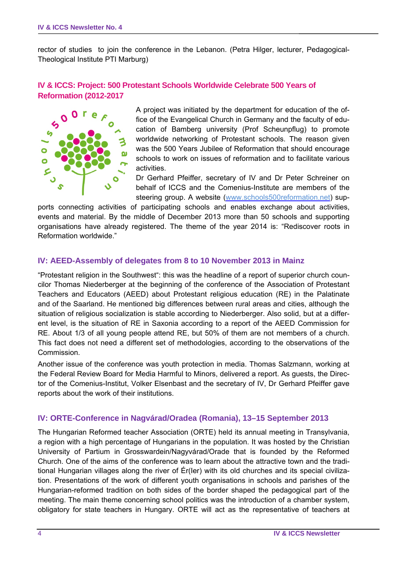rector of studies to join the conference in the Lebanon. (Petra Hilger, lecturer, Pedagogical-Theological Institute PTI Marburg)

## **IV & ICCS: Project: 500 Protestant Schools Worldwide Celebrate 500 Years of Reformation (2012-2017**



A project was initiated by the department for education of the office of the Evangelical Church in Germany and the faculty of education of Bamberg university (Prof Scheunpflug) to promote worldwide networking of Protestant schools. The reason given was the 500 Years Jubilee of Reformation that should encourage schools to work on issues of reformation and to facilitate various activities.

Dr Gerhard Pfeiffer, secretary of IV and Dr Peter Schreiner on behalf of ICCS and the Comenius-Institute are members of the steering group. A website (www.schools500reformation.net) sup-

ports connecting activities of participating schools and enables exchange about activities, events and material. By the middle of December 2013 more than 50 schools and supporting organisations have already registered. The theme of the year 2014 is: "Rediscover roots in Reformation worldwide."

#### **IV: AEED-Assembly of delegates from 8 to 10 November 2013 in Mainz**

"Protestant religion in the Southwest": this was the headline of a report of superior church councilor Thomas Niederberger at the beginning of the conference of the Association of Protestant Teachers and Educators (AEED) about Protestant religious education (RE) in the Palatinate and of the Saarland. He mentioned big differences between rural areas and cities, although the situation of religious socialization is stable according to Niederberger. Also solid, but at a different level, is the situation of RE in Saxonia according to a report of the AEED Commission for RE. About 1/3 of all young people attend RE, but 50% of them are not members of a church. This fact does not need a different set of methodologies, according to the observations of the Commission.

Another issue of the conference was youth protection in media. Thomas Salzmann, working at the Federal Review Board for Media Harmful to Minors, delivered a report. As guests, the Director of the Comenius-Institut, Volker Elsenbast and the secretary of IV, Dr Gerhard Pfeiffer gave reports about the work of their institutions.

#### **IV: ORTE-Conference in Nagvárad/Oradea (Romania), 13–15 September 2013**

The Hungarian Reformed teacher Association (ORTE) held its annual meeting in Transylvania, a region with a high percentage of Hungarians in the population. It was hosted by the Christian University of Partium in Grosswardein/Nagyvárad/Orade that is founded by the Reformed Church. One of the aims of the conference was to learn about the attractive town and the traditional Hungarian villages along the river of Ér(Ier) with its old churches and its special civilization. Presentations of the work of different youth organisations in schools and parishes of the Hungarian-reformed tradition on both sides of the border shaped the pedagogical part of the meeting. The main theme concerning school politics was the introduction of a chamber system, obligatory for state teachers in Hungary. ORTE will act as the representative of teachers at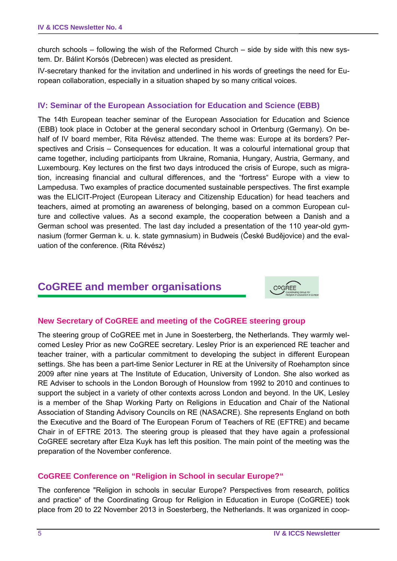church schools – following the wish of the Reformed Church – side by side with this new system. Dr. Bálint Korsós (Debrecen) was elected as president.

IV-secretary thanked for the invitation and underlined in his words of greetings the need for European collaboration, especially in a situation shaped by so many critical voices.

#### **IV: Seminar of the European Association for Education and Science (EBB)**

The 14th European teacher seminar of the European Association for Education and Science (EBB) took place in October at the general secondary school in Ortenburg (Germany). On behalf of IV board member, Rita Révész attended. The theme was: Europe at its borders? Perspectives and Crisis – Consequences for education. It was a colourful international group that came together, including participants from Ukraine, Romania, Hungary, Austria, Germany, and Luxembourg. Key lectures on the first two days introduced the crisis of Europe, such as migration, increasing financial and cultural differences, and the "fortress" Europe with a view to Lampedusa. Two examples of practice documented sustainable perspectives. The first example was the ELICIT-Project (European Literacy and Citizenship Education) for head teachers and teachers, aimed at promoting an awareness of belonging, based on a common European culture and collective values. As a second example, the cooperation between a Danish and a German school was presented. The last day included a presentation of the 110 year-old gymnasium (former German k. u. k. state gymnasium) in Budweis (České Budějovice) and the evaluation of the conference. (Rita Révész)

# **CoGREE and member organisations**



## **New Secretary of CoGREE and meeting of the CoGREE steering group**

The steering group of CoGREE met in June in Soesterberg, the Netherlands. They warmly welcomed Lesley Prior as new CoGREE secretary. Lesley Prior is an experienced RE teacher and teacher trainer, with a particular commitment to developing the subject in different European settings. She has been a part-time Senior Lecturer in RE at the University of Roehampton since 2009 after nine years at The Institute of Education, University of London. She also worked as RE Adviser to schools in the London Borough of Hounslow from 1992 to 2010 and continues to support the subject in a variety of other contexts across London and beyond. In the UK, Lesley is a member of the Shap Working Party on Religions in Education and Chair of the National Association of Standing Advisory Councils on RE (NASACRE). She represents England on both the Executive and the Board of The European Forum of Teachers of RE (EFTRE) and became Chair in of EFTRE 2013. The steering group is pleased that they have again a professional CoGREE secretary after Elza Kuyk has left this position. The main point of the meeting was the preparation of the November conference.

## **CoGREE Conference on "Religion in School in secular Europe?"**

The conference "Religion in schools in secular Europe? Perspectives from research, politics and practice" of the Coordinating Group for Religion in Education in Europe (CoGREE) took place from 20 to 22 November 2013 in Soesterberg, the Netherlands. It was organized in coop-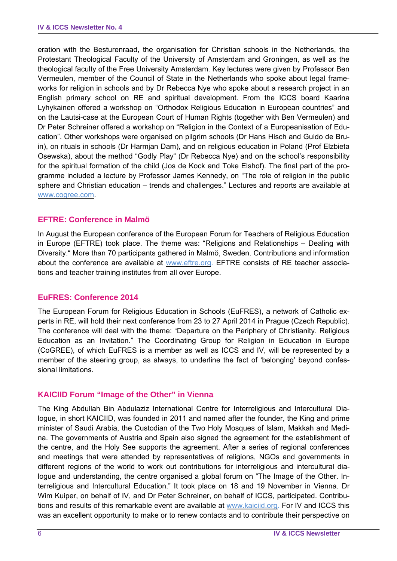eration with the Besturenraad, the organisation for Christian schools in the Netherlands, the Protestant Theological Faculty of the University of Amsterdam and Groningen, as well as the theological faculty of the Free University Amsterdam. Key lectures were given by Professor Ben Vermeulen, member of the Council of State in the Netherlands who spoke about legal frameworks for religion in schools and by Dr Rebecca Nye who spoke about a research project in an English primary school on RE and spiritual development. From the ICCS board Kaarina Lyhykainen offered a workshop on "Orthodox Religious Education in European countries" and on the Lautsi-case at the European Court of Human Rights (together with Ben Vermeulen) and Dr Peter Schreiner offered a workshop on "Religion in the Context of a Europeanisation of Education". Other workshops were organised on pilgrim schools (Dr Hans Hisch and Guido de Bruin), on rituals in schools (Dr Harmjan Dam), and on religious education in Poland (Prof Elzbieta Osewska), about the method "Godly Play" (Dr Rebecca Nye) and on the school's responsibility for the spiritual formation of the child (Jos de Kock and Toke Elshof). The final part of the programme included a lecture by Professor James Kennedy, on "The role of religion in the public sphere and Christian education – trends and challenges." Lectures and reports are available at www.cogree.com.

#### **EFTRE: Conference in Malmö**

In August the European conference of the European Forum for Teachers of Religious Education in Europe (EFTRE) took place. The theme was: "Religions and Relationships – Dealing with Diversity." More than 70 participants gathered in Malmö, Sweden. Contributions and information about the conference are available at www.eftre.org. EFTRE consists of RE teacher associations and teacher training institutes from all over Europe.

#### **EuFRES: Conference 2014**

The European Forum for Religious Education in Schools (EuFRES), a network of Catholic experts in RE, will hold their next conference from 23 to 27 April 2014 in Prague (Czech Republic). The conference will deal with the theme: "Departure on the Periphery of Christianity. Religious Education as an Invitation." The Coordinating Group for Religion in Education in Europe (CoGREE), of which EuFRES is a member as well as ICCS and IV, will be represented by a member of the steering group, as always, to underline the fact of 'belonging' beyond confessional limitations.

#### **KAICIID Forum "Image of the Other" in Vienna**

The King Abdullah Bin Abdulaziz International Centre for Interreligious and Intercultural Dialogue, in short KAICIID, was founded in 2011 and named after the founder, the King and prime minister of Saudi Arabia, the Custodian of the Two Holy Mosques of Islam, Makkah and Medina. The governments of Austria and Spain also signed the agreement for the establishment of the centre, and the Holy See supports the agreement. After a series of regional conferences and meetings that were attended by representatives of religions, NGOs and governments in different regions of the world to work out contributions for interreligious and intercultural dialogue and understanding, the centre organised a global forum on "The Image of the Other. Interreligious and Intercultural Education." It took place on 18 and 19 November in Vienna. Dr Wim Kuiper, on behalf of IV, and Dr Peter Schreiner, on behalf of ICCS, participated. Contributions and results of this remarkable event are available at www.kaiciid.org. For IV and ICCS this was an excellent opportunity to make or to renew contacts and to contribute their perspective on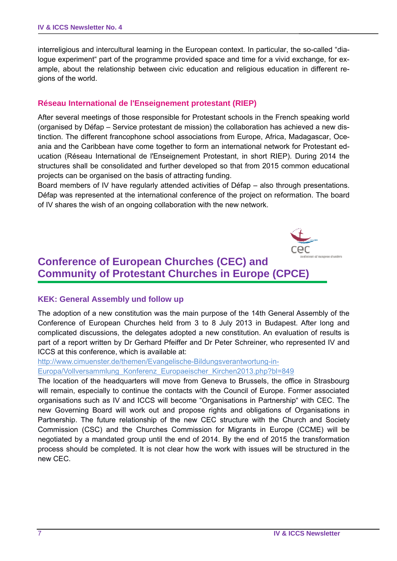interreligious and intercultural learning in the European context. In particular, the so-called "dialogue experiment" part of the programme provided space and time for a vivid exchange, for example, about the relationship between civic education and religious education in different regions of the world.

#### **Réseau International de l'Enseignement protestant (RIEP)**

After several meetings of those responsible for Protestant schools in the French speaking world (organised by Défap – Service protestant de mission) the collaboration has achieved a new distinction. The different francophone school associations from Europe, Africa, Madagascar, Oceania and the Caribbean have come together to form an international network for Protestant education (Réseau International de l'Enseignement Protestant, in short RIEP). During 2014 the structures shall be consolidated and further developed so that from 2015 common educational projects can be organised on the basis of attracting funding.

Board members of IV have regularly attended activities of Défap – also through presentations. Défap was represented at the international conference of the project on reformation. The board of IV shares the wish of an ongoing collaboration with the new network.



# **Conference of European Churches (CEC) and Community of Protestant Churches in Europe (CPCE)**

#### **KEK: General Assembly und follow up**

The adoption of a new constitution was the main purpose of the 14th General Assembly of the Conference of European Churches held from 3 to 8 July 2013 in Budapest. After long and complicated discussions, the delegates adopted a new constitution. An evaluation of results is part of a report written by Dr Gerhard Pfeiffer and Dr Peter Schreiner, who represented IV and ICCS at this conference, which is available at:

http://www.cimuenster.de/themen/Evangelische-Bildungsverantwortung-in-

Europa/Vollversammlung\_Konferenz\_Europaeischer\_Kirchen2013.php?bl=849

The location of the headquarters will move from Geneva to Brussels, the office in Strasbourg will remain, especially to continue the contacts with the Council of Europe. Former associated organisations such as IV and ICCS will become "Organisations in Partnership" with CEC. The new Governing Board will work out and propose rights and obligations of Organisations in Partnership. The future relationship of the new CEC structure with the Church and Society Commission (CSC) and the Churches Commission for Migrants in Europe (CCME) will be negotiated by a mandated group until the end of 2014. By the end of 2015 the transformation process should be completed. It is not clear how the work with issues will be structured in the new CEC.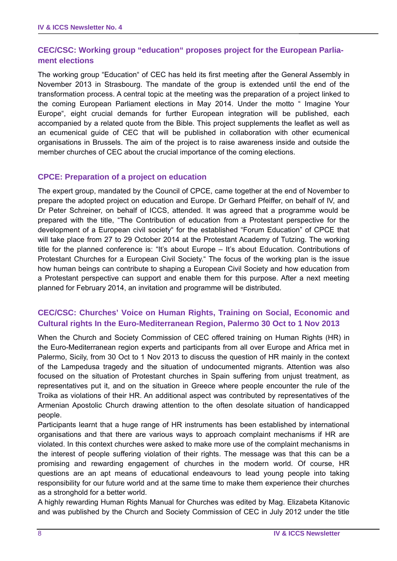## **CEC/CSC: Working group "education" proposes project for the European Parliament elections**

The working group "Education" of CEC has held its first meeting after the General Assembly in November 2013 in Strasbourg. The mandate of the group is extended until the end of the transformation process. A central topic at the meeting was the preparation of a project linked to the coming European Parliament elections in May 2014. Under the motto " Imagine Your Europe", eight crucial demands for further European integration will be published, each accompanied by a related quote from the Bible. This project supplements the leaflet as well as an ecumenical guide of CEC that will be published in collaboration with other ecumenical organisations in Brussels. The aim of the project is to raise awareness inside and outside the member churches of CEC about the crucial importance of the coming elections.

#### **CPCE: Preparation of a project on education**

The expert group, mandated by the Council of CPCE, came together at the end of November to prepare the adopted project on education and Europe. Dr Gerhard Pfeiffer, on behalf of IV, and Dr Peter Schreiner, on behalf of ICCS, attended. It was agreed that a programme would be prepared with the title, "The Contribution of education from a Protestant perspective for the development of a European civil society" for the established "Forum Education" of CPCE that will take place from 27 to 29 October 2014 at the Protestant Academy of Tutzing. The working title for the planned conference is: "It's about Europe – It's about Education. Contributions of Protestant Churches for a European Civil Society." The focus of the working plan is the issue how human beings can contribute to shaping a European Civil Society and how education from a Protestant perspective can support and enable them for this purpose. After a next meeting planned for February 2014, an invitation and programme will be distributed.

#### **CEC/CSC: Churches' Voice on Human Rights, Training on Social, Economic and Cultural rights In the Euro-Mediterranean Region, Palermo 30 Oct to 1 Nov 2013**

When the Church and Society Commission of CEC offered training on Human Rights (HR) in the Euro-Mediterranean region experts and participants from all over Europe and Africa met in Palermo, Sicily, from 30 Oct to 1 Nov 2013 to discuss the question of HR mainly in the context of the Lampedusa tragedy and the situation of undocumented migrants. Attention was also focused on the situation of Protestant churches in Spain suffering from unjust treatment, as representatives put it, and on the situation in Greece where people encounter the rule of the Troika as violations of their HR. An additional aspect was contributed by representatives of the Armenian Apostolic Church drawing attention to the often desolate situation of handicapped people.

Participants learnt that a huge range of HR instruments has been established by international organisations and that there are various ways to approach complaint mechanisms if HR are violated. In this context churches were asked to make more use of the complaint mechanisms in the interest of people suffering violation of their rights. The message was that this can be a promising and rewarding engagement of churches in the modern world. Of course, HR questions are an apt means of educational endeavours to lead young people into taking responsibility for our future world and at the same time to make them experience their churches as a stronghold for a better world.

A highly rewarding Human Rights Manual for Churches was edited by Mag. Elizabeta Kitanovic and was published by the Church and Society Commission of CEC in July 2012 under the title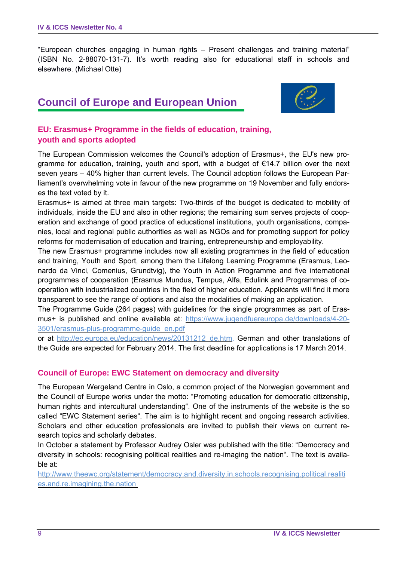"European churches engaging in human rights – Present challenges and training material" (ISBN No. 2-88070-131-7). It's worth reading also for educational staff in schools and elsewhere. (Michael Otte)

# **Council of Europe and European Union**



# **EU: Erasmus+ Programme in the fields of education, training, youth and sports adopted**

The European Commission welcomes the Council's adoption of Erasmus+, the EU's new programme for education, training, youth and sport, with a budget of €14.7 billion over the next seven years – 40% higher than current levels. The Council adoption follows the European Parliament's overwhelming vote in favour of the new programme on 19 November and fully endorses the text voted by it.

Erasmus+ is aimed at three main targets: Two-thirds of the budget is dedicated to mobility of individuals, inside the EU and also in other regions; the remaining sum serves projects of cooperation and exchange of good practice of educational institutions, youth organisations, companies, local and regional public authorities as well as NGOs and for promoting support for policy reforms for modernisation of education and training, entrepreneurship and employability.

The new Erasmus+ programme includes now all existing programmes in the field of education and training, Youth and Sport, among them the Lifelong Learning Programme (Erasmus, Leonardo da Vinci, Comenius, Grundtvig), the Youth in Action Programme and five international programmes of cooperation (Erasmus Mundus, Tempus, Alfa, Edulink and Programmes of cooperation with industrialized countries in the field of higher education. Applicants will find it more transparent to see the range of options and also the modalities of making an application.

The Programme Guide (264 pages) with guidelines for the single programmes as part of Erasmus+ is published and online available at: https://www.jugendfuereuropa.de/downloads/4-20- 3501/erasmus-plus-programme-guide\_en.pdf

or at http://ec.europa.eu/education/news/20131212\_de.htm. German and other translations of the Guide are expected for February 2014. The first deadline for applications is 17 March 2014.

## **Council of Europe: EWC Statement on democracy and diversity**

The European Wergeland Centre in Oslo, a common project of the Norwegian government and the Council of Europe works under the motto: "Promoting education for democratic citizenship, human rights and intercultural understanding". One of the instruments of the website is the so called "EWC Statement series". The aim is to highlight recent and ongoing research activities. Scholars and other education professionals are invited to publish their views on current research topics and scholarly debates.

In October a statement by Professor Audrey Osler was published with the title: "Democracy and diversity in schools: recognising political realities and re-imaging the nation". The text is available at:

http://www.theewc.org/statement/democracy.and.diversity.in.schools.recognising.political.realiti es.and.re.imagining.the.nation